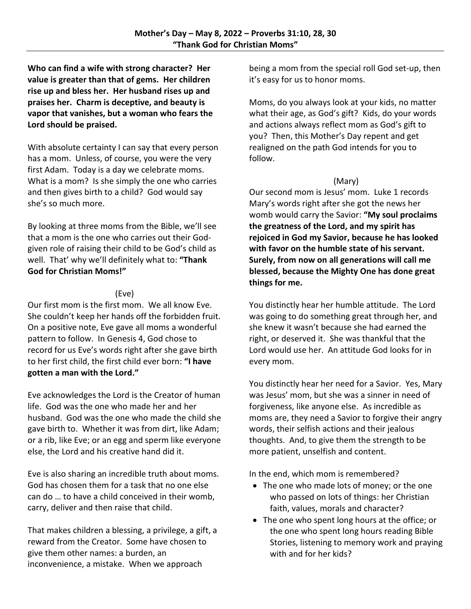**Who can find a wife with strong character? Her value is greater than that of gems. Her children rise up and bless her. Her husband rises up and praises her. Charm is deceptive, and beauty is vapor that vanishes, but a woman who fears the Lord should be praised.**

With absolute certainty I can say that every person has a mom. Unless, of course, you were the very first Adam. Today is a day we celebrate moms. What is a mom? Is she simply the one who carries and then gives birth to a child? God would say she's so much more.

By looking at three moms from the Bible, we'll see that a mom is the one who carries out their Godgiven role of raising their child to be God's child as well. That' why we'll definitely what to: **"Thank God for Christian Moms!"**

## (Eve)

Our first mom is the first mom. We all know Eve. She couldn't keep her hands off the forbidden fruit. On a positive note, Eve gave all moms a wonderful pattern to follow. In Genesis 4, God chose to record for us Eve's words right after she gave birth to her first child, the first child ever born: **"I have gotten a man with the Lord."**

Eve acknowledges the Lord is the Creator of human life. God was the one who made her and her husband. God was the one who made the child she gave birth to. Whether it was from dirt, like Adam; or a rib, like Eve; or an egg and sperm like everyone else, the Lord and his creative hand did it.

Eve is also sharing an incredible truth about moms. God has chosen them for a task that no one else can do … to have a child conceived in their womb, carry, deliver and then raise that child.

That makes children a blessing, a privilege, a gift, a reward from the Creator. Some have chosen to give them other names: a burden, an inconvenience, a mistake. When we approach

being a mom from the special roll God set-up, then it's easy for us to honor moms.

Moms, do you always look at your kids, no matter what their age, as God's gift? Kids, do your words and actions always reflect mom as God's gift to you? Then, this Mother's Day repent and get realigned on the path God intends for you to follow.

## (Mary)

Our second mom is Jesus' mom. Luke 1 records Mary's words right after she got the news her womb would carry the Savior: **"My soul proclaims the greatness of the Lord, and my spirit has rejoiced in God my Savior, because he has looked with favor on the humble state of his servant. Surely, from now on all generations will call me blessed, because the Mighty One has done great things for me.**

You distinctly hear her humble attitude. The Lord was going to do something great through her, and she knew it wasn't because she had earned the right, or deserved it. She was thankful that the Lord would use her. An attitude God looks for in every mom.

You distinctly hear her need for a Savior. Yes, Mary was Jesus' mom, but she was a sinner in need of forgiveness, like anyone else. As incredible as moms are, they need a Savior to forgive their angry words, their selfish actions and their jealous thoughts. And, to give them the strength to be more patient, unselfish and content.

In the end, which mom is remembered?

- The one who made lots of money; or the one who passed on lots of things: her Christian faith, values, morals and character?
- The one who spent long hours at the office; or the one who spent long hours reading Bible Stories, listening to memory work and praying with and for her kids?